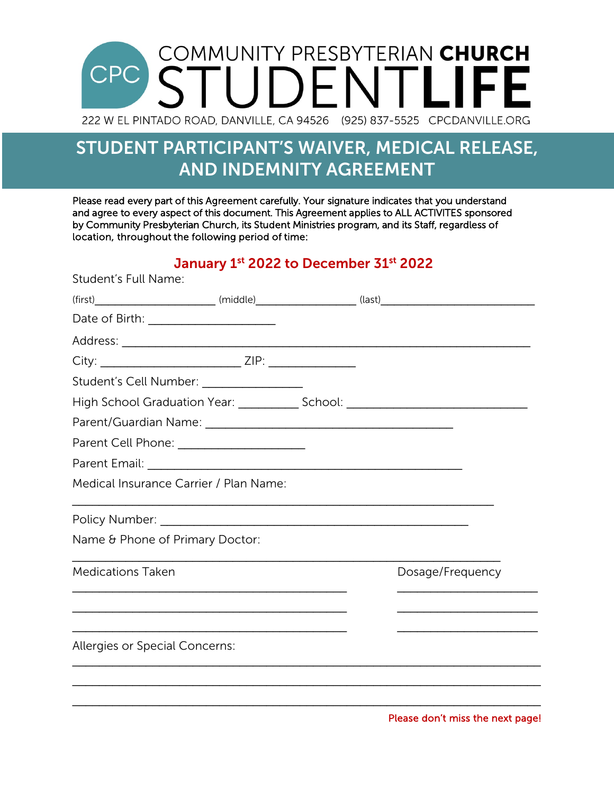## **COMMUNITY PRESBYTERIAN CHURCH** UDENTLIF 222 W EL PINTADO ROAD, DANVILLE, CA 94526 (925) 837-5525 CPCDANVILLE.ORG

## STUDENT PARTICIPANT'S WAIVER, MEDICAL RELEASE, AND INDEMNITY AGREEMENT

Please read every part of this Agreement carefully. Your signature indicates that you understand and agree to every aspect of this document. This Agreement applies to ALL ACTIVITES sponsored by Community Presbyterian Church, its Student Ministries program, and its Staff, regardless of location, throughout the following period of time:

January 1st 2022 to December 31st 2022

| Student's Full Name:                                                             |  |                  |
|----------------------------------------------------------------------------------|--|------------------|
|                                                                                  |  |                  |
|                                                                                  |  |                  |
|                                                                                  |  |                  |
| City: __________________________________ ZIP: __________________________________ |  |                  |
| Student's Cell Number: _________________                                         |  |                  |
| High School Graduation Year: ________________ School: __________________________ |  |                  |
|                                                                                  |  |                  |
| Parent Cell Phone: ______________________                                        |  |                  |
|                                                                                  |  |                  |
| Medical Insurance Carrier / Plan Name:                                           |  |                  |
|                                                                                  |  |                  |
| Name & Phone of Primary Doctor:                                                  |  |                  |
| <b>Medications Taken</b>                                                         |  | Dosage/Frequency |
|                                                                                  |  |                  |
| Allergies or Special Concerns:                                                   |  |                  |
|                                                                                  |  |                  |
|                                                                                  |  |                  |
|                                                                                  |  |                  |

Please don't miss the next page!